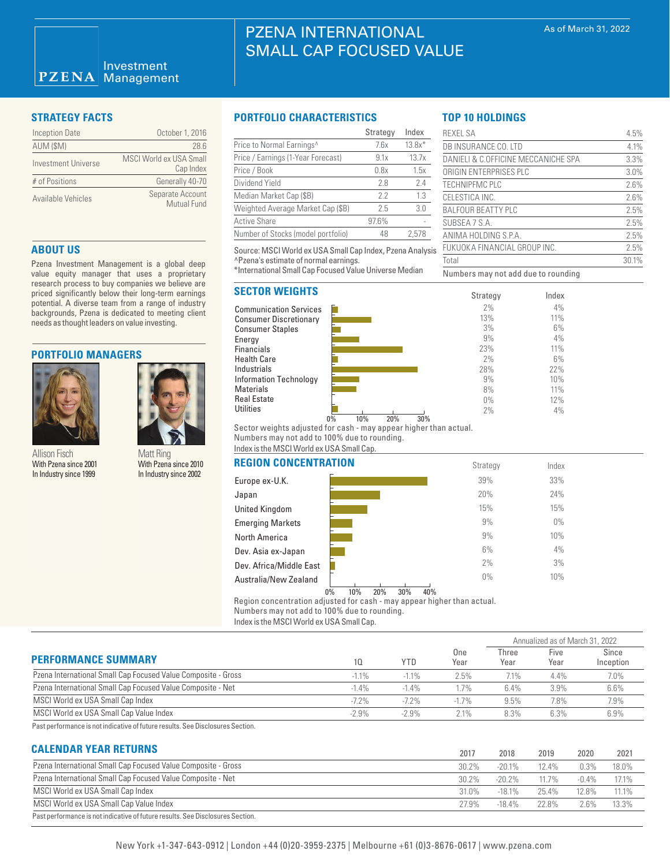### Investment **PZENA** Management

# PZENA INTERNATIONAL SMALL CAP FOCUSED VALUE

| <b>Inception Date</b> | October 1, 2016                      |
|-----------------------|--------------------------------------|
| AUM (\$M)             | 28 h                                 |
| Investment Universe   | MSCI World ex USA Small<br>Cap Index |
| # of Positions        | Generally 40-70                      |
| Available Vehicles    | Separate Account<br>Mutual Fund      |

## **ABOUT US**

Pzena Investment Management is a global deep value equity manager that uses a proprietary research process to buy companies we believe are priced significantly below their long-term earnings potential. A diverse team from a range of industry backgrounds, Pzena is dedicated to meeting client needs as thought leaders on value investing.

### **PORTFOLIO MANAGERS**



Allison Fisch With Pzena since 2001 In Industry since 1999

Matt Ring With Pzena since 2010 In Industry since 2002

## **STRATEGY FACTS PORTFOLIO CHARACTERISTICS**

|                                       | Strategy | Index    |
|---------------------------------------|----------|----------|
| Price to Normal Earnings <sup>^</sup> | 7.6x     | $13.8x*$ |
| Price / Earnings (1-Year Forecast)    | 9.1x     | 13.7x    |
| Price / Book                          | 0.8x     | 1.5x     |
| Dividend Yield                        | 2.8      | 2.4      |
| Median Market Cap (\$B)               | 2.2      | 1.3      |
| Weighted Average Market Cap (\$B)     | 2.5      | 3.0      |
| <b>Active Share</b>                   | 97.6%    |          |
| Number of Stocks (model portfolio)    | 48       | 2.578    |

Source: MSCI World ex USA Small Cap Index, Pzena Analysis ^Pzena's estimate of normal earnings.

\*International Small Cap Focused Value Universe Median

# **SECTOR WEIGHTS**





Numbers may not add due to rounding

REXEL SA 4.5% DB INSURANCE CO. LTD 4.1% DANIELI & C. OFFICINE MECCANICHE SPA 3.3% ORIGIN ENTERPRISES PLC 3.0% TECHNIPFMC PLC 2.6% CELESTICA INC. 2.6% BALFOUR BEATTY PLC 2.5% SUBSEA 7 S.A. 2.5% ANIMA HOLDING S.P.A. 2.5% FUKUOKA FINANCIAL GROUP INC. 2.5% Total 30.1%

> Index 4% 11% 6% 4% 11% 6% 22% 10% 11% 12% 4%

**TOP 10 HOLDINGS**

Sector weights adjusted for cash - may appear higher than actual. Numbers may not add to 100% due to rounding.

| Index is the MSCI World ex USA Small Cap. |  |
|-------------------------------------------|--|

### **REGION CONCENTRATION**

| KEGIUN LUNLEN I KATIUN  |                         | Strategy | Index |  |
|-------------------------|-------------------------|----------|-------|--|
| Europe ex-U.K.          |                         | 39%      | 33%   |  |
| Japan                   |                         | 20%      | 24%   |  |
| United Kingdom          |                         | 15%      | 15%   |  |
| <b>Emerging Markets</b> |                         | 9%       | $0\%$ |  |
| North America           |                         | 9%       | 10%   |  |
| Dev. Asia ex-Japan      |                         | 6%       | 4%    |  |
| Dev. Africa/Middle East |                         | 2%       | 3%    |  |
| Australia/New Zealand   |                         | $0\%$    | 10%   |  |
|                         | 30%<br>20%<br>0%<br>10% | 40%      |       |  |

Region concentration adjusted for cash - may appear higher than actual. Numbers may not add to 100% due to rounding. Index is the MSCI World ex USA Small Cap.

|                                                               |         |            |             | Annualized as of March 31, 2022 |              |                    |
|---------------------------------------------------------------|---------|------------|-------------|---------------------------------|--------------|--------------------|
| <b>PERFORMANCE SUMMARY</b>                                    | 10.     | <b>YTD</b> | One<br>Year | Three<br>Year                   | Five<br>Year | Since<br>Inception |
| Pzena International Small Cap Focused Value Composite - Gross | $-1.1%$ | $-1.1\%$   | 2.5%        | 7.1%                            | 4.4%         | 7.0%               |
| Pzena International Small Cap Focused Value Composite - Net   | $-1.4%$ | $-1.4%$    | $.7\%$      | 6.4%                            | 3.9%         | 6.6%               |
| MSCI World ex USA Small Cap Index                             | $-7.2%$ | $-7.2\%$   | $-17%$      | 9.5%                            | 7.8%         | 7.9%               |
| MSCI World ex USA Small Cap Value Index                       | $-2.9%$ | $-2.9\%$   | $2.1\%$     | 8.3%                            | 6.3%         | 6.9%               |

Past performance is not indicative of future results. See Disclosures Section.

# **CALENDAR YEAR RETURNS**

| <u>VALLINDAN TEAN NETUNING</u>                                                 | 2017     | 2018      | 2019     | 2020     | 2021  |
|--------------------------------------------------------------------------------|----------|-----------|----------|----------|-------|
| Pzena International Small Cap Focused Value Composite - Gross                  | $30.2\%$ | $-20.1\%$ | $12.4\%$ | 0.3%     | 18.0% |
| Pzena International Small Cap Focused Value Composite - Net                    | 30.2%    | -20.2%    | $117\%$  | $-0.4\%$ | 17.1% |
| MSCI World ex USA Small Cap Index                                              | $31.0\%$ | -18.1%    | 25.4%    | 12.8%    | 11.1% |
| MSCI World ex USA Small Cap Value Index                                        | 27.9%    | $-184%$   | 22.8%    | 2.6%     | 13.3% |
| Past performance is not indicative of future results. See Disclosures Section. |          |           |          |          |       |